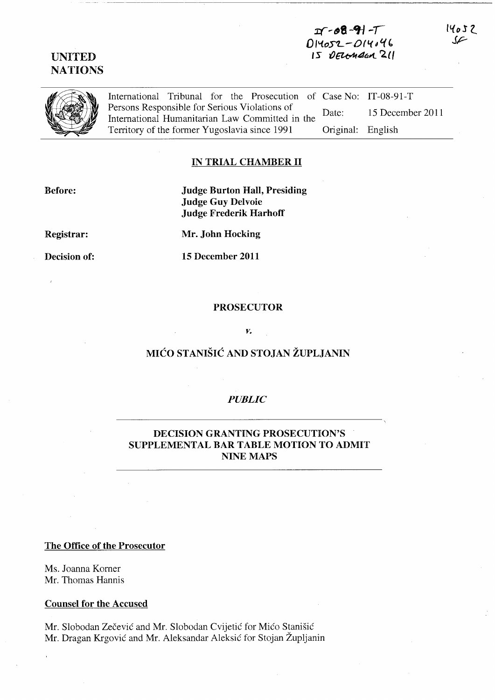## **xr,.tf8 -91-/**  <sup>D</sup>**I** *"toS'L* **-0 ( I.(** *tJ f.( " '5* {)~dr;~ **2({**

**UNITED NATIONS** 

> International Tribunal for the Prosecution of Case No: IT-08-91-T Persons Responsible for Serious Violations of International Humanitarian Law Committed in the Territory of the former Yugoslavia since 1991 Date: 15 December 2011 Original: English

## **IN TRIAL CHAMBER 11**

**Before:** 

**Judge Burton Hall, Presiding Judge Guy Delvoie Judge Frederik HarhofI** 

**Registrar:** 

**Decision of:** 

**Mr. John Hocking** 

**15 December 2011** 

### **PROSECUTOR**

#### *v.*

# **MICO STANISIC AND STOJAN ZUPLJANIN**

### *PUBLIC*

## **DECISION GRANTING PROSECUTION'S SUPPLEMENTAL BAR TABLE MOTION TO ADMIT**  NINE MAPS

### **The Office of the Prosecutor**

Ms. Joanna Komer Mr. Thomas Hannis

### **Counsel for the Accused**

Mr. Slobodan Zečević and Mr. Slobodan Cvijetić for Mićo Stanišić Mr. Dragan Krgovic and Mr. Aleksandar Aleksic for Stojan Zupljanin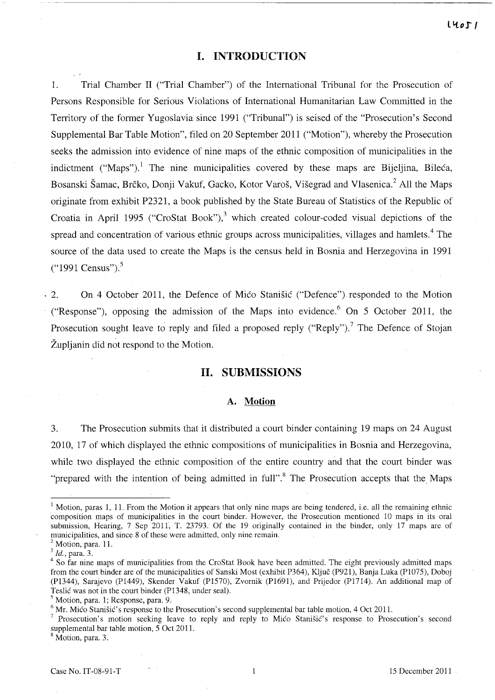## **I. INTRODUCTION**

1. Trial Chamber II ("Trial Chamber") of the International Tribunal for the Prosecution of Persons Responsible for Serious Violations of International Humanitarian Law Committed in the Territory of the former Yugoslavia since 1991 ("Tribunal") is seised of the "Prosecution's Second Supplemental Bar Table Motion", filed on 20 September 2011 ("Motion"), whereby the Prosecution seeks the admission into evidence of nine maps of the ethnic composition of municipalities in the indictment ("Maps").<sup>1</sup> The nine municipalities covered by these maps are Bijeljina, Bileca, Bosanski Šamac, Brčko, Donji Vakuf, Gacko, Kotor Varoš, Višegrad and Vlasenica.<sup>2</sup> All the Maps originate from exhibit P2321, a book published by the State Bureau of Statistics of the Republic of Croatia in April 1995 ("CroStat Book"),<sup>3</sup> which created colour-coded visual depictions of the spread and concentration of various ethnic groups across municipalities, villages and hamlets.<sup>4</sup> The source of the data used to create the Maps is the census held in Bosnia and Herzegovina in 1991  $("1991 Census").$ <sup>5</sup>

2. On 4 October 2011, the Defence of Mico Stanisic ("Defence") responded to the Motion ("Response"), opposing the admission of the Maps into evidence.<sup>6</sup> On 5 October 2011, the Prosecution sought leave to reply and filed a proposed reply ("Reply").<sup>7</sup> The Defence of Stojan Župljanin did not respond to the Motion.

### **11. SUBMISSIONS**

#### **A. Motion**

3. The Prosecution submits that it distributed a court binder containing 19 maps on 24 August 2010, 17 of which displayed the ethnic compositions of municipalities in Bosnia and Herzegovina, while two displayed the ethnic composition of the entire country and that the court binder was "prepared with the intention of being admitted in full".<sup>8</sup> The Prosecution accepts that the Maps

<sup>&</sup>lt;sup>1</sup> Motion, paras 1, 11. From the Motion it appears that only nine maps are being tendered, i.e. all the remaining ethnic composition maps of municipalities in the court binder. However, the Prosecution mentioned 10 maps in its oral submission, Hearing, 7 Sep 2011, T. 23793. Of the 19 originally contained in the binder, only 17 maps are of municipalities, and since 8 of these were admitted. only nine remain.

 $<sup>2</sup>$  Motion, para. 11.</sup>

*<sup>3</sup> Id.,* para. 3.

<sup>&</sup>lt;sup>4</sup> So far nine maps of municipalities from the CroStat Book have been admitted. The eight previously admitted maps from the court binder are of the municipalities of Sanski Most (exhibit P364), Kljuc (P92l), Banja Luka (P1075), Doboj (P1344), Sarajevo (PI449), Skender Vakuf (P1570), Zvornik (P1691), and Prijedor (P17l4). An additional map of Teslic was not in the court binder (P1348, under seal).

<sup>5</sup> Motion, para. 1; Response, para. 9.

<sup>&</sup>lt;sup>6</sup> Mr. Mico Stanišic's response to the Prosecution's second supplemental bar table motion, 4 Oct 2011.

Prosecution's motion seeking leave to reply and reply to Mico Stanisic's response to Prosecution's second supplemental bar table motion, 5 Oct 2011.

<sup>8</sup> Motion, para. 3.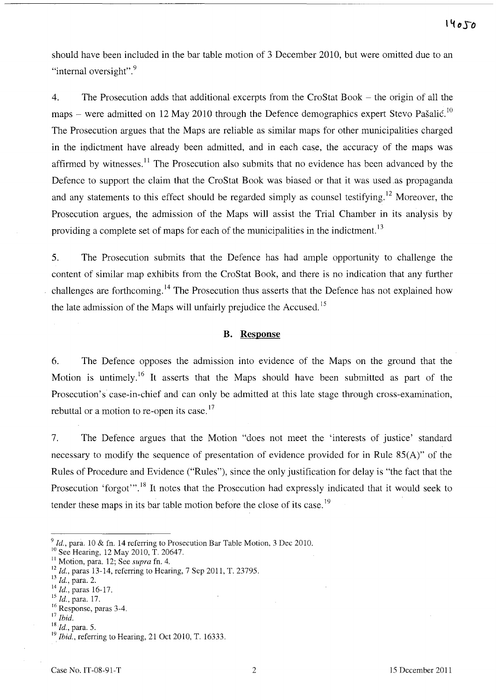should have been included in the bar table motion of 3 December 2010, but were omitted due to an "internal oversight".<sup>9</sup>

4. The Prosecution adds that additional excerpts from the CroStat Book - the origin of all the maps – were admitted on 12 May 2010 through the Defence demographics expert Stevo Pašalić.<sup>10</sup> The Prosecution argues that the Maps are reliable as similar maps for other municipalities charged in the indictment have already been admitted, and in each case, the accuracy of the maps was affirmed by witnesses.<sup>11</sup> The Prosecution also submits that no evidence has been advanced by the Defence to support the claim that the CroStat Book was biased or that it was used as propaganda and any statements to this effect should be regarded simply as counsel testifying.<sup>12</sup> Moreover, the Prosecution argues, the admission of the Maps will assist the Trial Chamber in its analysis by providing a complete set of maps for each of the municipalities in the indictment.<sup>13</sup>

5. The Prosecution submits that the Defence has had ample opportunity to challenge the content of similar map exhibits from the CroStat Book, and there is no indication that any further challenges are forthcoming. 14 The Prosecution thus asserts that the Defence has not explained how the late admission of the Maps will unfairly prejudice the Accused.<sup>15</sup>

### **B. Response**

6. The Defence opposes the admission into evidence of the Maps on the ground that the Motion is untimely.<sup>16</sup> It asserts that the Maps should have been submitted as part of the Prosecution's case-in-chief and can only be admitted at this late stage through cross-examination, rebuttal or a motion to re-open its case.<sup>17</sup>

7. The Defence argues that the Motion "does not meet the 'interests of justice' standard necessary to modify the sequence of presentation of evidence provided for in Rule 85(A)" of the Rules of Procedure and Evidence ("Rules"), since the only justification for delay is "the fact that the Prosecution 'forgot'".<sup>18</sup> It notes that the Prosecution had expressly indicated that it would seek to tender these maps in its bar table motion before the close of its case.<sup>19</sup>

<sup>&</sup>lt;sup>9</sup> Id., para. 10 & fn. 14 referring to Prosecution Bar Table Motion, 3 Dec 2010.

<sup>&</sup>lt;sup>10</sup> See Hearing, 12 May 2010, T. 20647.

<sup>11</sup>Motion, para. 12; See *supra* fn. 4.

<sup>12</sup>*Id.,* paras 13-14, referring to Hearing, 7 Sep 2011, T. 23795.

<sup>13</sup>*Id.,* para. 2.

 $^{14}$  *Id.*, paras 16-17.

<sup>15</sup>*Id.,* para. 17.

<sup>&</sup>lt;sup>16</sup> Response, paras 3-4.

<sup>17</sup>*Ibid.* 

*<sup>18</sup> 1d.,* para. 5.

<sup>&</sup>lt;sup>19</sup> *Ibid.*, referring to Hearing, 21 Oct 2010, T. 16333.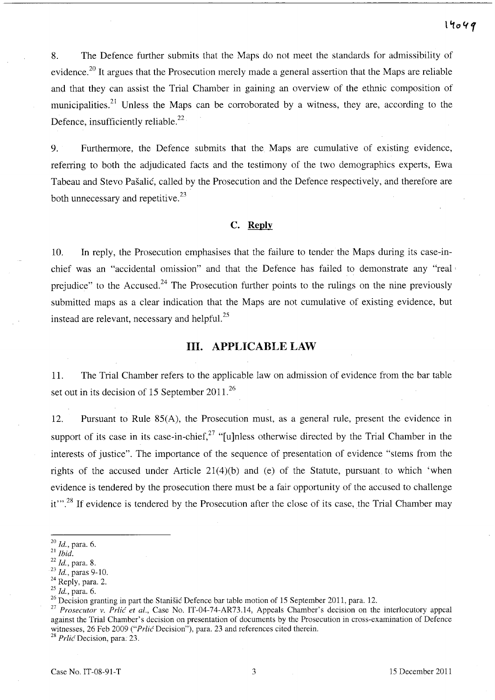8. The Defence further submits that the Maps do not meet the standards for admissibility of evidence.<sup>20</sup> It argues that the Prosecution merely made a general assertion that the Maps are reliable and that they can assist the Trial Chamber in gaining an overview of the ethnic composition of municipalities.<sup>21</sup> Unless the Maps can be corroborated by a witness, they are, according to the Defence, insufficiently reliable.<sup>22</sup>

9. Furthermore, the Defence submits that the Maps are cumulative of existing evidence, referring to both the adjudicated facts and the testimony of the two demographics experts, Ewa Tabeau and Stevo Pašalić, called by the Prosecution and the Defence respectively, and therefore are both unnecessary and repetitive. $^{23}$ 

## **C. Reply**

10. In reply, the Prosecution emphasises that the failure to tender the Maps during its case-inchief was an "accidental omission" and that the Defence has failed to demonstrate any "real· prejudice" to the Accused.<sup>24</sup> The Prosecution further points to the rulings on the nine previously submitted maps as a clear indication that the Maps are not cumulative of existing evidence, but instead are relevant, necessary and helpful. $^{25}$ 

## **Ill. APPLICABLE LAW**

11. The Trial Chamber refers to the applicable law on admission of evidence from the bar table set out in its decision of 15 September  $2011^{26}$ 

12. Pursuant to Rule 85(A), the Prosecution must, as a general rule, present the evidence in support of its case in its case-in-chief.<sup>27</sup> "[u]nless otherwise directed by the Trial Chamber in the interests of justice". The importance of the sequence of presentation of evidence "stems from the rights of the accused under Article 21(4)(b) and (e) of the Statute, pursuant to which 'when evidence is tendered by the prosecution there must be a fair opportunity of the accused to challenge it"<sup>28</sup>. If evidence is tendered by the Prosecution after the close of its case, the Trial Chamber may

<sup>28</sup> Prlic Decision, para. 23.

*<sup>20</sup> Id.,* para. 6.

<sup>21</sup>*Ibid.* 

<sup>22</sup>*Id.,* para. 8.

<sup>23</sup>*Id.,* paras 9-10.

<sup>&</sup>lt;sup>24</sup> Reply, para. 2.

*<sup>25</sup> Id.,* para. 6.

<sup>&</sup>lt;sup>26</sup> Decision granting in part the Stanišić Defence bar table motion of 15 September 2011, para. 12.

<sup>&</sup>lt;sup>27</sup> Prosecutor v. Prlić et al., Case No. IT-04-74-AR73.14, Appeals Chamber's decision on the interlocutory appeal against the Trial Chamber's decision on presentation of documents by the Prosecution in cross-examination of Defence witnesses, 26 Feb 2009 ("*Prlic Decision"*), para. 23 and references cited therein.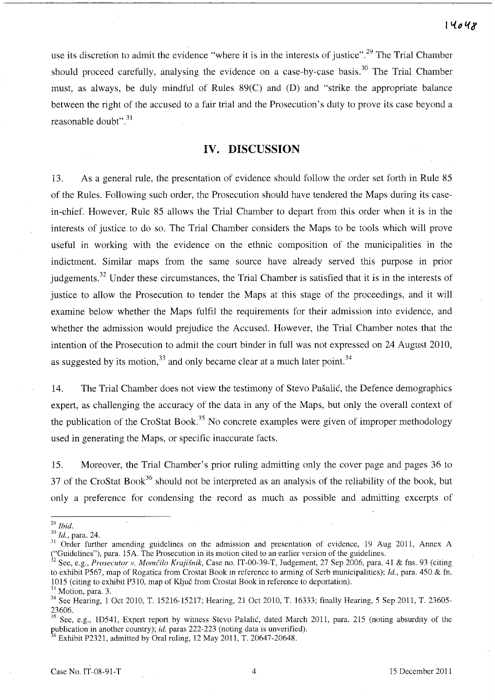use its discretion to admit the evidence "where it is in the interests of justice".<sup>29</sup> The Trial Chamber should proceed carefully, analysing the evidence on a case-by-case basis.<sup>30</sup> The Trial Chamber must, as always, be duly mindful of Rules 89(C) and (D) and "strike the appropriate balance between the right of the accused to a fair trial and the Prosecution's duty to prove its case beyond a reasonable doubt". 31

# **IV. DISCUSSION**

13. As a general rule, the presentation of evidence should follow the order set forth in Rule 85 of the Rules. Following such order, the Prosecution should have tendered the Maps during its casein-chief. However, Rule 85 allows the Trial Chamber to depart from this order when it is in the interests of justice to do so. The Trial Chamber considers the Maps to be tools which will prove useful in working with the evidence on the ethnic composition of the municipalities in the indictment. Similar maps from the same source have already served this purpose in prior iudgements.<sup>32</sup> Under these circumstances, the Trial Chamber is satisfied that it is in the interests of justice to allow the Prosecution to tender the Maps at this stage of the proceedings, and it will examine below whether the Maps fulfil the requirements for their admission into evidence, and whether the admission would prejudice the Accused. However, the Trial Chamber notes that the intention of the Prosecution to admit the court binder in full was not expressed on 24 August 2010, as suggested by its motion,  $33$  and only became clear at a much later point.  $34$ 

14. The Trial Chamber does not view the testimony of Stevo Pasalic, the Defence demographics expert, as challenging the accuracy of the data in any of the Maps, but only the overall context of the publication of the CroStat Book.<sup>35</sup> No concrete examples were given of improper methodology used in generating the Maps, or specific inaccurate facts.

15. Moreover, the Trial Chamber's prior ruling admitting only the cover page and pages 36 to 37 of the CroStat Book<sup>36</sup> should not be interpreted as an analysis of the reliability of the book, but only a preference for condensing the record as much as possible and admitting excerpts of

6 Exhibit P2321, admitted by Oral ruling, 12 May 2011, T. 20647-20648.

*<sup>29</sup> Ibid.* 

*<sup>30</sup> Id.,* para. 24.

<sup>&</sup>lt;sup>31</sup> Order further amending guidelines on the admission and presentation of evidence, 19 Aug 2011, Annex A ("Guidelines"), para. 15A. The Prosecution in its motion cited to an earlier version of the guidelines.

<sup>&</sup>lt;sup>32</sup> See, e.g., *Prosecutor v. Momčilo Krajišnik*, Case no. IT-00-39-T, Judgement, 27 Sep 2006, para. 41 & fns. 93 (citing to exhibit P567, map of Rogatica from Crostat Book in reference to arming of Serb municipalities); *Id.,* para. 450 & fn. 1015 (citing to exhibit P31O, map of KIjuc from Crostat Book in reference to deportation).

<sup>&</sup>lt;sup>33</sup> Motion, para. 3.

<sup>&</sup>lt;sup>34</sup> See Hearing, 1 Oct 2010, T. 15216-15217; Hearing, 21 Oct 2010, T. 16333; finally Hearing, 5 Sep 2011, T. 23605-23606.

See, e.g., 1D541, Expert report by witness Stevo Pašalić, dated March 2011, para. 215 (noting absurdity of the publication in another country); *id.* paras 222-223 (noting data is unverified).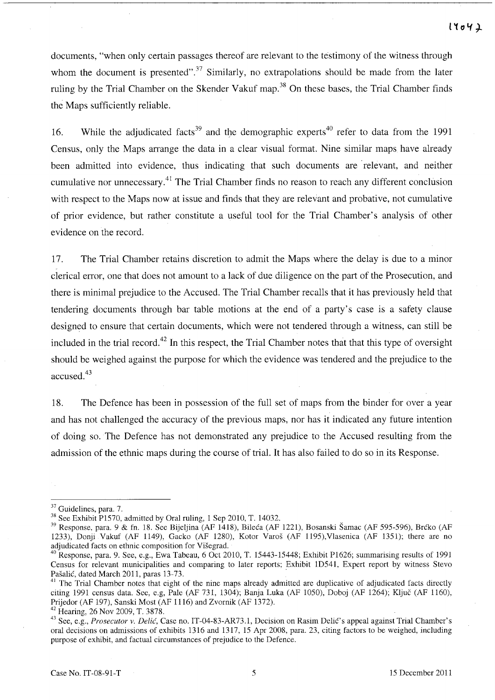documents, "when only certain passages thereof are relevant to the testimony of the witness through whom the document is presented".<sup>37</sup> Similarly, no extrapolations should be made from the later ruling by the Trial Chamber on the Skender Vakuf map.<sup>38</sup> On these bases, the Trial Chamber finds the Maps sufficiently reliable.

16. While the adjudicated facts<sup>39</sup> and the demographic experts<sup>40</sup> refer to data from the 1991 Census, only the Maps arrange the data in a clear visual format. Nine similar maps have already been admitted into evidence, thus indicating that such documents are' relevant, and neither cumulative nor unnecessary.41 The Trial Chamber finds no reason to reach any different conclusion with respect to the Maps now at issue and finds that they are relevant and probative, not cumulative of prior evidence, but rather constitute a useful tool for the Trial Chamber's analysis of other evidence on the record.

17. The Trial Chamber retains discretion to admit the Maps where the delay is due to a minor clerical error, one that does not amount to a lack of due diligence on the part of the Prosecution, and there is minimal prejudice to the Accused. The Trial Chamber recalls that it has previously held that tendering documents through bar table motions at the end of a party's case is a safety clause designed to ensure that certain documents, which were not tendered through a witness, can still be included in the trial record.<sup>42</sup> In this respect, the Trial Chamber notes that that this type of oversight should be weighed against the purpose for which the evidence was tendered and the prejudice to the accused.<sup>43</sup>

18. The Defence has been in possession of the full set of maps from the binder for over a year and has not challenged the accuracy of the previous maps, nor has it indicated any future intention of doing so. The Defence has not demonstrated any prejudice to the Accused resulting from the admission of the ethnic maps during the course of trial. **It** has also failed to do so in its Response.

<sup>&</sup>lt;sup>37</sup> Guidelines, para. 7.

<sup>38</sup> See Exhibit P1570, admitted by Oral ruling, 1 Sep 2010, T. 14032.

<sup>39</sup> Response, para. 9 & fn. 18. See Bijeljina (AF 1418), Bileca (AF 1221), Bosanski Samac (AF 595-596), Brcko (AF 1233), Donji Vakuf (AF 1149), Gacko (AF 1280), Kotor Varoš (AF 1195), Vlasenica (AF 1351); there are no adjudicated facts on ethnic composition for Visegrad.

 $^{40}$  Response, para. 9. See, e.g., Ewa Tabeau, 6 Oct 2010, T. 15443-15448; Exhibit P1626; summarising results of 1991 Census for relevant municipalities and comparing to later reports; Exhibit ID541, Expert report by witness Stevo Pašalić, dated March 2011, paras 13-73.

<sup>&</sup>lt;sup>41</sup> The Trial Chamber notes that eight of the nine maps already admitted are duplicative of adjudicated facts directly citing 1991 census data. See, e.g, Pale (AF 731, l304); Banja Luka (AF 1050), Doboj (AF 1264); KIjuc (AF 1160), Prijedor (AF 197), Sanski Most (AF 1116) and Zvornik (AF 1372).

<sup>42</sup> Hearing, 26 Nov 2009, T. 3878.

<sup>&</sup>lt;sup>43</sup> See, e.g., *Prosecutor v. Delić*, Case no. IT-04-83-AR73.1, Decision on Rasim Delić's appeal against Trial Chamber's oral decisions on admissions of exhibits l316 and l317, 15 Apr 2008, para. 23, citing factors to be weighed, including purpose of exhibit, and factual circumstances of prejudice to the Defence.